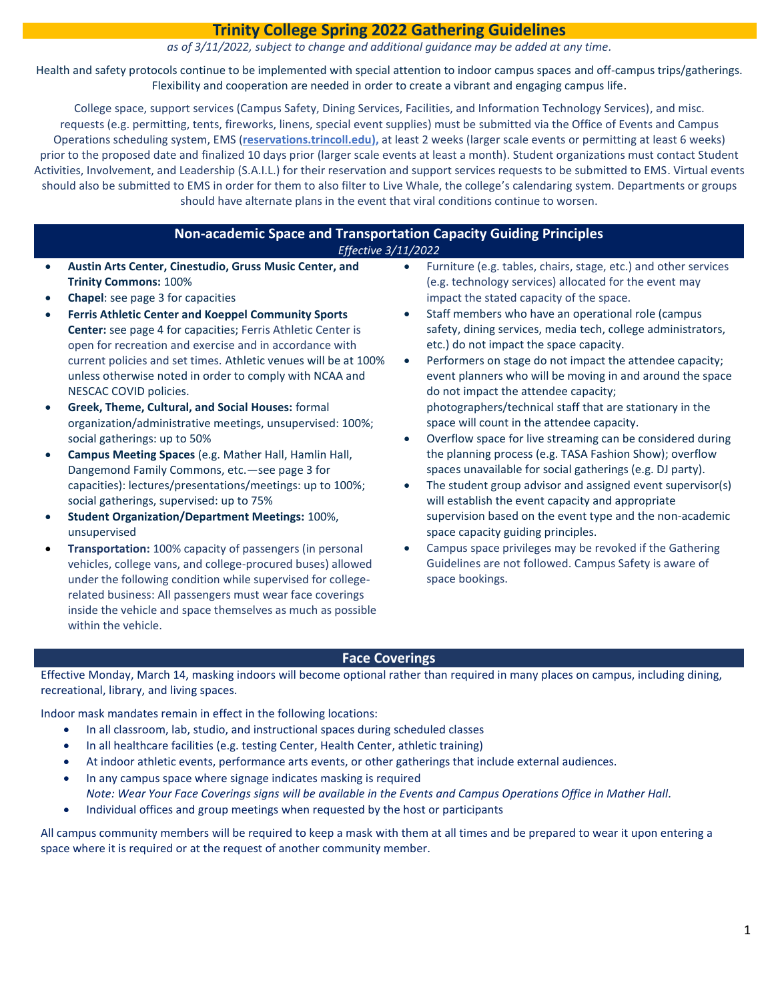# **Trinity College Spring 2022 Gathering Guidelines**

*as of 3/11/2022, subject to change and additional guidance may be added at any time.*

Health and safety protocols continue to be implemented with special attention to indoor campus spaces and off-campus trips/gatherings. Flexibility and cooperation are needed in order to create a vibrant and engaging campus life.

College space, support services (Campus Safety, Dining Services, Facilities, and Information Technology Services), and misc. requests (e.g. permitting, tents, fireworks, linens, special event supplies) must be submitted via the Office of Events and Campus Operations scheduling system, EMS (**[reservations.trincoll.edu\)](https://reservations.trincoll.edu/EmsWebApp/),** at least 2 weeks (larger scale events or permitting at least 6 weeks) prior to the proposed date and finalized 10 days prior (larger scale events at least a month). Student organizations must contact Student Activities, Involvement, and Leadership (S.A.I.L.) for their reservation and support services requests to be submitted to EMS. Virtual events should also be submitted to EMS in order for them to also filter to Live Whale, the college's calendaring system. Departments or groups should have alternate plans in the event that viral conditions continue to worsen.

## **Non-academic Space and Transportation Capacity Guiding Principles** *Effective 3/11/2022*

- **Austin Arts Center, Cinestudio, Gruss Music Center, and Trinity Commons:** 100%
- **Chapel**: see page 3 for capacities
- **Ferris Athletic Center and Koeppel Community Sports Center:** see page 4 for capacities; Ferris Athletic Center is open for recreation and exercise and in accordance with current policies and set times. Athletic venues will be at 100% unless otherwise noted in order to comply with NCAA and NESCAC COVID policies.
- **Greek, Theme, Cultural, and Social Houses:** formal organization/administrative meetings, unsupervised: 100%; social gatherings: up to 50%
- **Campus Meeting Spaces** (e.g. Mather Hall, Hamlin Hall, Dangemond Family Commons, etc.—see page 3 for capacities): lectures/presentations/meetings: up to 100%; social gatherings, supervised: up to 75%
- **Student Organization/Department Meetings:** 100%, unsupervised
- **Transportation:** 100% capacity of passengers (in personal vehicles, college vans, and college-procured buses) allowed under the following condition while supervised for collegerelated business: All passengers must wear face coverings inside the vehicle and space themselves as much as possible within the vehicle.
- Furniture (e.g. tables, chairs, stage, etc.) and other services (e.g. technology services) allocated for the event may impact the stated capacity of the space.
- Staff members who have an operational role (campus safety, dining services, media tech, college administrators, etc.) do not impact the space capacity.
- Performers on stage do not impact the attendee capacity; event planners who will be moving in and around the space do not impact the attendee capacity; photographers/technical staff that are stationary in the space will count in the attendee capacity.
- Overflow space for live streaming can be considered during the planning process (e.g. TASA Fashion Show); overflow spaces unavailable for social gatherings (e.g. DJ party).
- The student group advisor and assigned event supervisor(s) will establish the event capacity and appropriate supervision based on the event type and the non-academic space capacity guiding principles.
- Campus space privileges may be revoked if the Gathering Guidelines are not followed. Campus Safety is aware of space bookings.

### **Face Coverings**

Effective Monday, March 14, masking indoors will become optional rather than required in many places on campus, including dining, recreational, library, and living spaces.

Indoor mask mandates remain in effect in the following locations:

- In all classroom, lab, studio, and instructional spaces during scheduled classes
- In all healthcare facilities (e.g. testing Center, Health Center, athletic training)
- At indoor athletic events, performance arts events, or other gatherings that include external audiences.
- In any campus space where signage indicates masking is required *Note: Wear Your Face Coverings signs will be available in the Events and Campus Operations Office in Mather Hall.*
- Individual offices and group meetings when requested by the host or participants

All campus community members will be required to keep a mask with them at all times and be prepared to wear it upon entering a space where it is required or at the request of another community member.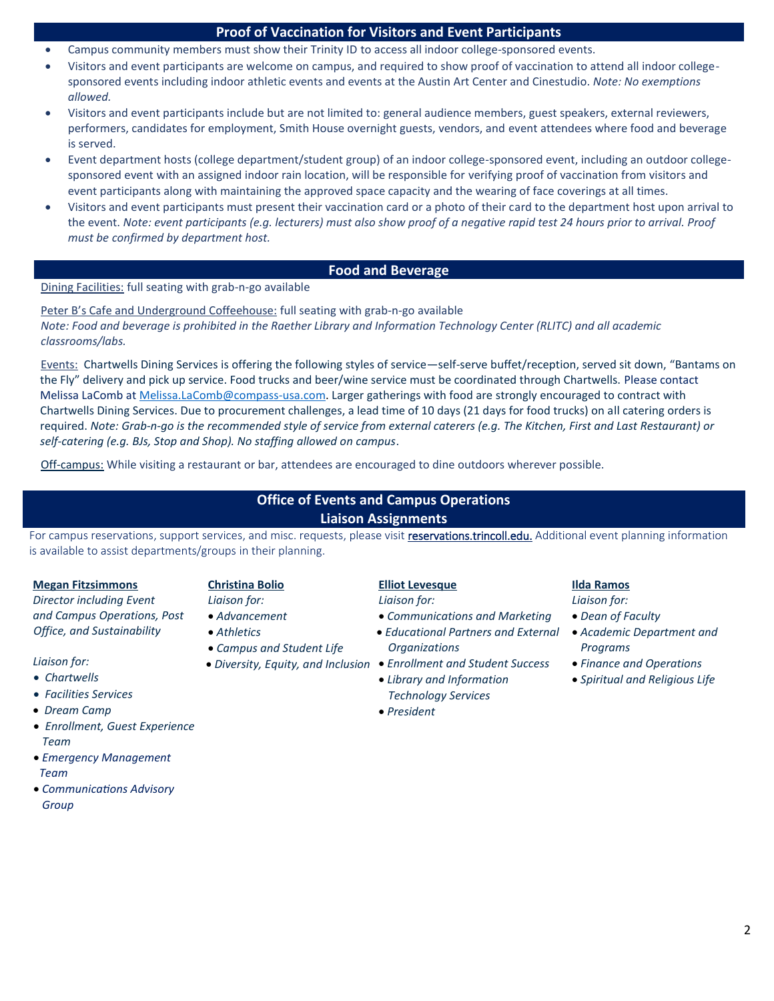### **Proof of Vaccination for Visitors and Event Participants**

- Campus community members must show their Trinity ID to access all indoor college-sponsored events.
- Visitors and event participants are welcome on campus, and required to show proof of vaccination to attend all indoor collegesponsored events including indoor athletic events and events at the Austin Art Center and Cinestudio. *Note: No exemptions allowed.*
- Visitors and event participants include but are not limited to: general audience members, guest speakers, external reviewers, performers, candidates for employment, Smith House overnight guests, vendors, and event attendees where food and beverage is served.
- Event department hosts (college department/student group) of an indoor college-sponsored event, including an outdoor collegesponsored event with an assigned indoor rain location, will be responsible for verifying proof of vaccination from visitors and event participants along with maintaining the approved space capacity and the wearing of face coverings at all times.
- Visitors and event participants must present their vaccination card or a photo of their card to the department host upon arrival to the event. *Note: event participants (e.g. lecturers) must also show proof of a negative rapid test 24 hours prior to arrival. Proof must be confirmed by department host.*

### **Food and Beverage**

Dining Facilities: full seating with grab-n-go available

Peter B's Cafe and Underground Coffeehouse: full seating with grab-n-go available *Note: Food and beverage is prohibited in the Raether Library and Information Technology Center (RLITC) and all academic classrooms/labs.* 

Events: Chartwells Dining Services is offering the following styles of service—self-serve buffet/reception, served sit down, "Bantams on the Fly" delivery and pick up service. Food trucks and beer/wine service must be coordinated through Chartwells. Please contact Melissa LaComb at [Melissa.LaComb@compass-usa.com.](mailto:Melissa.LaComb@compass-usa.com) Larger gatherings with food are strongly encouraged to contract with Chartwells Dining Services. Due to procurement challenges, a lead time of 10 days (21 days for food trucks) on all catering orders is required. *Note: Grab-n-go is the recommended style of service from external caterers (e.g. The Kitchen, First and Last Restaurant) or self-catering (e.g. BJs, Stop and Shop). No staffing allowed on campus*.

Off-campus: While visiting a restaurant or bar, attendees are encouraged to dine outdoors wherever possible.

**[Christina Bolio](mailto:Christina%20Bolio@trincoll.edu)** *Liaison for:* • *Advancement* • *Athletics*

• *Campus and Student Life*

# **Office of Events and Campus Operations Liaison Assignments**

For campus reservations, support services, and misc. requests, please visit [reservations.trincoll.edu.](https://reservations.trincoll.edu/EmsWebApp/) Additional event planning information is available to assist departments/groups in their planning.

#### **[Megan Fitzsimmons](mailto:Megan.Fitzsimmons@trincoll.edu)**

*Director including Event and Campus Operations, Post Office, and Sustainability*

#### *Liaison for:*

- *Chartwells*
- *Facilities Services*
- *Dream Camp*
- *Enrollment, Guest Experience Team*
- *Emergency Management Team*
- *Communications Advisory Group*

## **[Elliot Levesque](mailto:Elliot.Levesque@trincoll.edu)**

*Liaison for:*

- *Communications and Marketing*
- *Educational Partners and External Organizations*
- *Diversity, Equity, and Inclusion Enrollment and Student Success* • *Library and Information* 
	- *Technology Services* • *President*
- **[Ilda Ramos](mailto:Ilda.Ramos@trincoll.edu)** *Liaison for:*
- *Dean of Faculty*
- *Academic Department and Programs*
- *Finance and Operations*
- *Spiritual and Religious Life*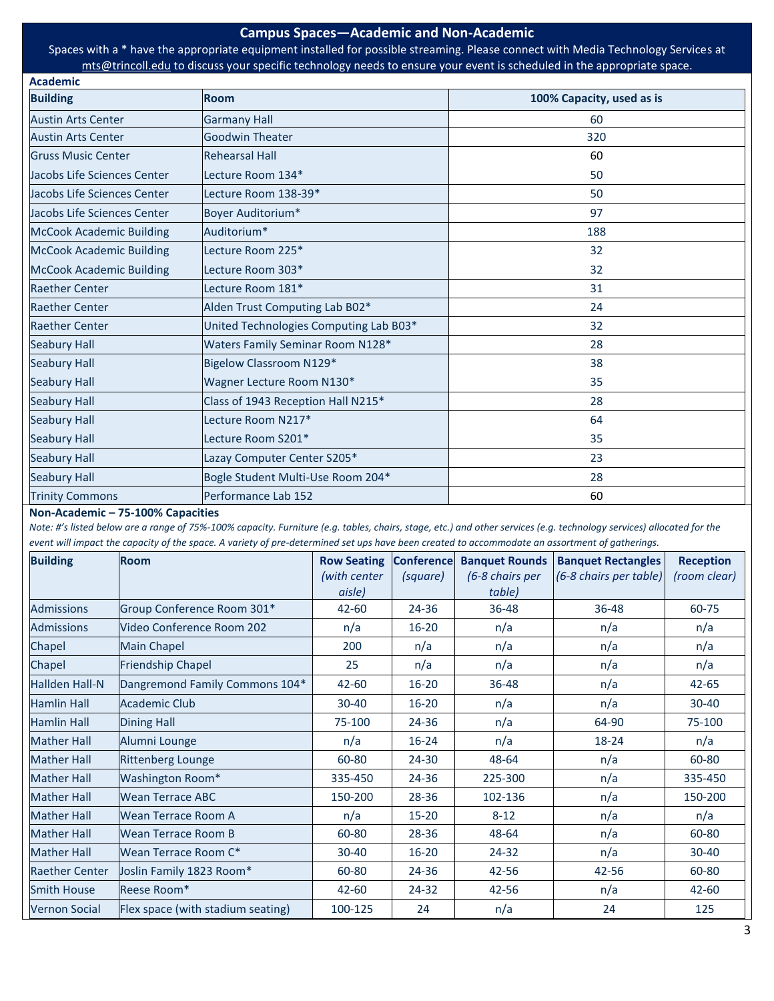#### **Campus Spaces—Academic and Non-Academic**

Spaces with a \* have the appropriate equipment installed for possible streaming. Please connect with Media Technology Services at [mts@trincoll.edu](mailto:mts@trincoll.edu) to discuss your specific technology needs to ensure your event is scheduled in the appropriate space.

| <b>Building</b>                 | <b>Room</b>                            | 100% Capacity, used as is |
|---------------------------------|----------------------------------------|---------------------------|
| <b>Austin Arts Center</b>       | <b>Garmany Hall</b>                    | 60                        |
| <b>Austin Arts Center</b>       | <b>Goodwin Theater</b>                 | 320                       |
| <b>Gruss Music Center</b>       | <b>Rehearsal Hall</b>                  | 60                        |
| Jacobs Life Sciences Center     | Lecture Room 134*                      | 50                        |
| Jacobs Life Sciences Center     | Lecture Room 138-39*                   | 50                        |
| Jacobs Life Sciences Center     | Boyer Auditorium*                      | 97                        |
| <b>McCook Academic Building</b> | Auditorium*                            | 188                       |
| <b>McCook Academic Building</b> | Lecture Room 225*                      | 32                        |
| <b>McCook Academic Building</b> | Lecture Room 303*                      | 32                        |
| <b>Raether Center</b>           | Lecture Room 181*                      | 31                        |
| <b>Raether Center</b>           | Alden Trust Computing Lab B02*         | 24                        |
| <b>Raether Center</b>           | United Technologies Computing Lab B03* | 32                        |
| <b>Seabury Hall</b>             | Waters Family Seminar Room N128*       | 28                        |
| <b>Seabury Hall</b>             | Bigelow Classroom N129*                | 38                        |
| <b>Seabury Hall</b>             | Wagner Lecture Room N130*              | 35                        |
| <b>Seabury Hall</b>             | Class of 1943 Reception Hall N215*     | 28                        |
| <b>Seabury Hall</b>             | Lecture Room N217*                     | 64                        |
| <b>Seabury Hall</b>             | Lecture Room S201*                     | 35                        |
| <b>Seabury Hall</b>             | Lazay Computer Center S205*            | 23                        |
| <b>Seabury Hall</b>             | Bogle Student Multi-Use Room 204*      | 28                        |
| <b>Trinity Commons</b>          | Performance Lab 152                    | 60                        |

**Non-Academic – 75-100% Capacities**

**Academic**

*Note: #'s listed below are a range of 75%-100% capacity. Furniture (e.g. tables, chairs, stage, etc.) and other services (e.g. technology services) allocated for the event will impact the capacity of the space. A variety of pre-determined set ups have been created to accommodate an assortment of gatherings.* 

| <b>Building</b>       | <b>Room</b>                       | <b>Row Seating</b>     | <b>Conference</b> | <b>Banquet Rounds</b>     | <b>Banquet Rectangles</b> | <b>Reception</b> |
|-----------------------|-----------------------------------|------------------------|-------------------|---------------------------|---------------------------|------------------|
|                       |                                   | (with center<br>aisle) | (square)          | (6-8 chairs per<br>table) | (6-8 chairs per table)    | (room clear)     |
| <b>Admissions</b>     | Group Conference Room 301*        | $42 - 60$              | 24-36             | 36-48                     | 36-48                     | 60-75            |
| <b>Admissions</b>     | Video Conference Room 202         | n/a                    | $16 - 20$         | n/a                       | n/a                       | n/a              |
| Chapel                | <b>Main Chapel</b>                | 200                    | n/a               | n/a                       | n/a                       | n/a              |
| Chapel                | <b>Friendship Chapel</b>          | 25                     | n/a               | n/a                       | n/a                       | n/a              |
| <b>Hallden Hall-N</b> | Dangremond Family Commons 104*    | $42 - 60$              | $16 - 20$         | 36-48                     | n/a                       | $42 - 65$        |
| <b>Hamlin Hall</b>    | <b>Academic Club</b>              | $30 - 40$              | $16 - 20$         | n/a                       | n/a                       | $30 - 40$        |
| <b>Hamlin Hall</b>    | <b>Dining Hall</b>                | 75-100                 | 24-36             | n/a                       | 64-90                     | 75-100           |
| <b>Mather Hall</b>    | Alumni Lounge                     | n/a                    | $16 - 24$         | n/a                       | 18-24                     | n/a              |
| <b>Mather Hall</b>    | <b>Rittenberg Lounge</b>          | 60-80                  | 24-30             | 48-64                     | n/a                       | 60-80            |
| <b>Mather Hall</b>    | Washington Room*                  | 335-450                | 24-36             | 225-300                   | n/a                       | 335-450          |
| <b>Mather Hall</b>    | <b>Wean Terrace ABC</b>           | 150-200                | 28-36             | 102-136                   | n/a                       | 150-200          |
| <b>Mather Hall</b>    | Wean Terrace Room A               | n/a                    | $15 - 20$         | $8 - 12$                  | n/a                       | n/a              |
| <b>Mather Hall</b>    | Wean Terrace Room B               | 60-80                  | 28-36             | 48-64                     | n/a                       | 60-80            |
| <b>Mather Hall</b>    | Wean Terrace Room C*              | 30-40                  | $16 - 20$         | 24-32                     | n/a                       | $30 - 40$        |
| <b>Raether Center</b> | Joslin Family 1823 Room*          | 60-80                  | 24-36             | 42-56                     | 42-56                     | 60-80            |
| <b>Smith House</b>    | Reese Room*                       | $42 - 60$              | 24-32             | 42-56                     | n/a                       | $42 - 60$        |
| <b>Vernon Social</b>  | Flex space (with stadium seating) | 100-125                | 24                | n/a                       | 24                        | 125              |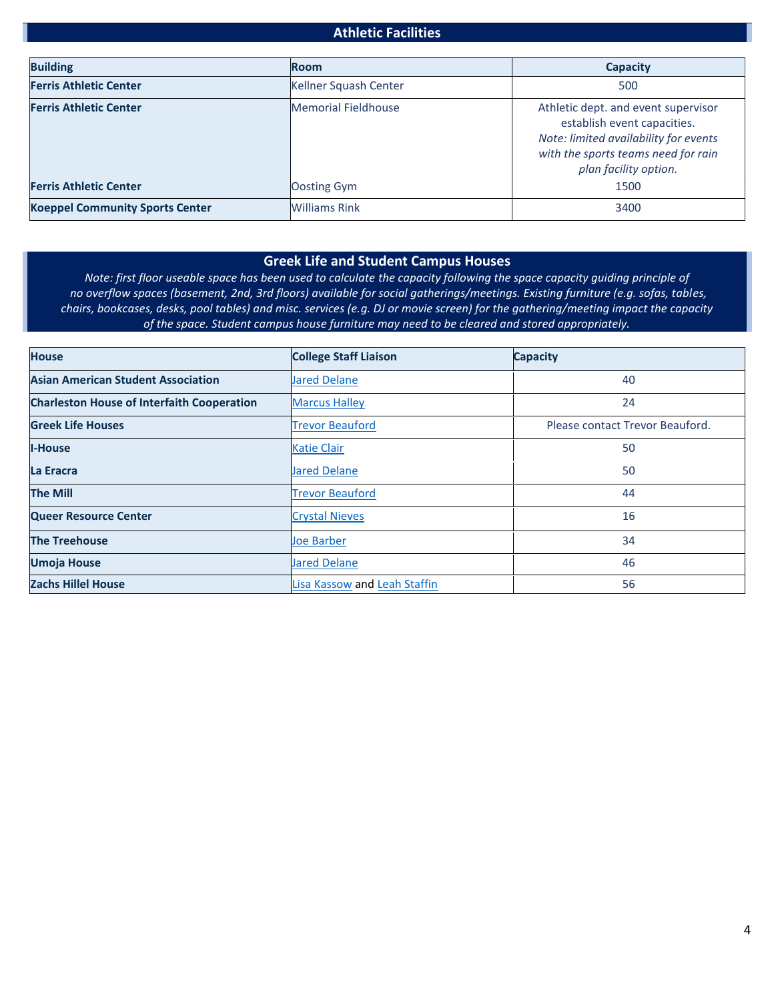## **Athletic Facilities**

| <b>Building</b>                        | <b>Room</b>                | <b>Capacity</b>                                                                                                                                                             |
|----------------------------------------|----------------------------|-----------------------------------------------------------------------------------------------------------------------------------------------------------------------------|
| <b>Ferris Athletic Center</b>          | Kellner Squash Center      | 500                                                                                                                                                                         |
| <b>Ferris Athletic Center</b>          | <b>Memorial Fieldhouse</b> | Athletic dept. and event supervisor<br>establish event capacities.<br>Note: limited availability for events<br>with the sports teams need for rain<br>plan facility option. |
| <b>Ferris Athletic Center</b>          | Oosting Gym                | 1500                                                                                                                                                                        |
| <b>Koeppel Community Sports Center</b> | <b>Williams Rink</b>       | 3400                                                                                                                                                                        |

#### **Greek Life and Student Campus Houses**

*Note: first floor useable space has been used to calculate the capacity following the space capacity guiding principle of no overflow spaces (basement, 2nd, 3rd floors) available for social gatherings/meetings. Existing furniture (e.g. sofas, tables, chairs, bookcases, desks, pool tables) and misc. services (e.g. DJ or movie screen) for the gathering/meeting impact the capacity of the space. Student campus house furniture may need to be cleared and stored appropriately.*

| <b>House</b>                                      | <b>College Staff Liaison</b>        | <b>Capacity</b>                 |
|---------------------------------------------------|-------------------------------------|---------------------------------|
| <b>Asian American Student Association</b>         | <b>Jared Delane</b>                 | 40                              |
| <b>Charleston House of Interfaith Cooperation</b> | <b>Marcus Halley</b>                | 24                              |
| <b>Greek Life Houses</b>                          | <b>Trevor Beauford</b>              | Please contact Trevor Beauford. |
| <b>I-House</b>                                    | <b>Katie Clair</b>                  | 50                              |
| La Eracra                                         | <b>Jared Delane</b>                 | 50                              |
| <b>The Mill</b>                                   | <b>Trevor Beauford</b>              | 44                              |
| <b>Queer Resource Center</b>                      | <b>Crystal Nieves</b>               | 16                              |
| <b>The Treehouse</b>                              | <b>Joe Barber</b>                   | 34                              |
| <b>Umoja House</b>                                | <b>Jared Delane</b>                 | 46                              |
| <b>Zachs Hillel House</b>                         | <b>Lisa Kassow and Leah Staffin</b> | 56                              |